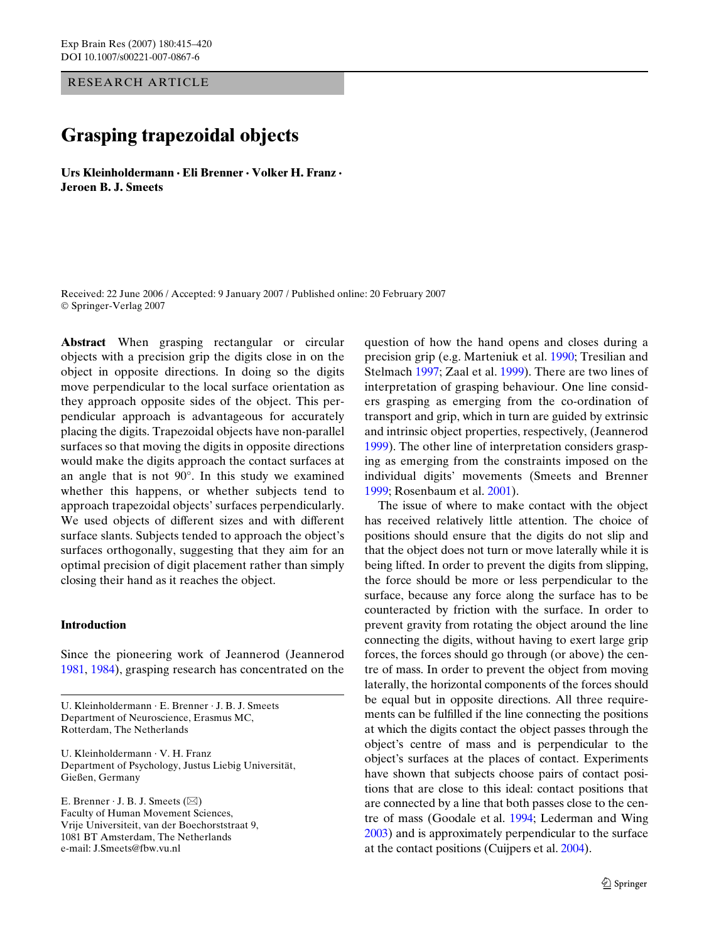RESEARCH ARTICLE

# **Grasping trapezoidal objects**

**Urs Kleinholdermann · Eli Brenner · Volker H. Franz · Jeroen B. J. Smeets** 

Received: 22 June 2006 / Accepted: 9 January 2007 / Published online: 20 February 2007 © Springer-Verlag 2007

**Abstract** When grasping rectangular or circular objects with a precision grip the digits close in on the object in opposite directions. In doing so the digits move perpendicular to the local surface orientation as they approach opposite sides of the object. This perpendicular approach is advantageous for accurately placing the digits. Trapezoidal objects have non-parallel surfaces so that moving the digits in opposite directions would make the digits approach the contact surfaces at an angle that is not 90°. In this study we examined whether this happens, or whether subjects tend to approach trapezoidal objects' surfaces perpendicularly. We used objects of different sizes and with different surface slants. Subjects tended to approach the object's surfaces orthogonally, suggesting that they aim for an optimal precision of digit placement rather than simply closing their hand as it reaches the object.

## **Introduction**

Since the pioneering work of Jeannerod (Jeannerod [1981](#page-5-0), [1984](#page-5-1)), grasping research has concentrated on the

U. Kleinholdermann · E. Brenner · J. B. J. Smeets Department of Neuroscience, Erasmus MC, Rotterdam, The Netherlands

U. Kleinholdermann · V. H. Franz Department of Psychology, Justus Liebig Universität, Gießen, Germany

E. Brenner  $\cdot$  J. B. J. Smeets ( $\boxtimes$ ) Faculty of Human Movement Sciences, Vrije Universiteit, van der Boechorststraat 9, 1081 BT Amsterdam, The Netherlands e-mail: J.Smeets@fbw.vu.nl

question of how the hand opens and closes during a precision grip (e.g. Marteniuk et al. [1990](#page-5-2); Tresilian and Stelmach [1997;](#page-5-3) Zaal et al. [1999](#page-5-4)). There are two lines of interpretation of grasping behaviour. One line considers grasping as emerging from the co-ordination of transport and grip, which in turn are guided by extrinsic and intrinsic object properties, respectively, (Jeannerod [1999](#page-5-5)). The other line of interpretation considers grasping as emerging from the constraints imposed on the individual digits' movements (Smeets and Brenner [1999](#page-5-6); Rosenbaum et al. [2001](#page-5-7)).

The issue of where to make contact with the object has received relatively little attention. The choice of positions should ensure that the digits do not slip and that the object does not turn or move laterally while it is being lifted. In order to prevent the digits from slipping, the force should be more or less perpendicular to the surface, because any force along the surface has to be counteracted by friction with the surface. In order to prevent gravity from rotating the object around the line connecting the digits, without having to exert large grip forces, the forces should go through (or above) the centre of mass. In order to prevent the object from moving laterally, the horizontal components of the forces should be equal but in opposite directions. All three requirements can be fulfilled if the line connecting the positions at which the digits contact the object passes through the object's centre of mass and is perpendicular to the object's surfaces at the places of contact. Experiments have shown that subjects choose pairs of contact positions that are close to this ideal: contact positions that are connected by a line that both passes close to the centre of mass (Goodale et al. [1994;](#page-5-8) Lederman and Wing [2003\)](#page-5-9) and is approximately perpendicular to the surface at the contact positions (Cuijpers et al. [2004\)](#page-5-10).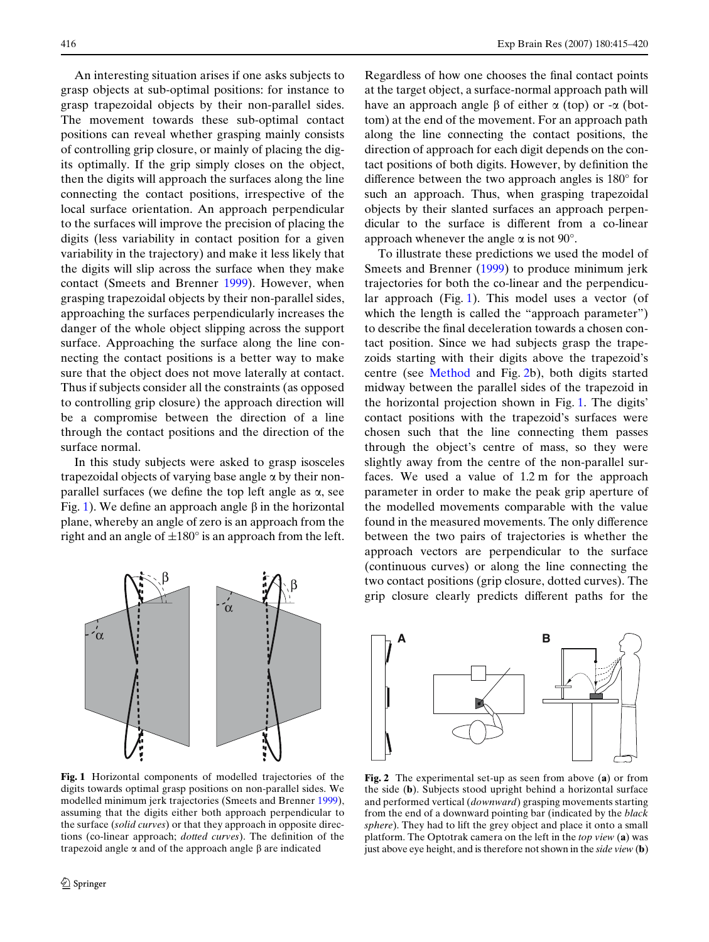An interesting situation arises if one asks subjects to grasp objects at sub-optimal positions: for instance to grasp trapezoidal objects by their non-parallel sides. The movement towards these sub-optimal contact positions can reveal whether grasping mainly consists of controlling grip closure, or mainly of placing the digits optimally. If the grip simply closes on the object, then the digits will approach the surfaces along the line connecting the contact positions, irrespective of the local surface orientation. An approach perpendicular to the surfaces will improve the precision of placing the digits (less variability in contact position for a given variability in the trajectory) and make it less likely that the digits will slip across the surface when they make contact (Smeets and Brenner [1999\)](#page-5-6). However, when grasping trapezoidal objects by their non-parallel sides, approaching the surfaces perpendicularly increases the danger of the whole object slipping across the support surface. Approaching the surface along the line connecting the contact positions is a better way to make sure that the object does not move laterally at contact. Thus if subjects consider all the constraints (as opposed to controlling grip closure) the approach direction will be a compromise between the direction of a line through the contact positions and the direction of the surface normal.

In this study subjects were asked to grasp isosceles trapezoidal objects of varying base angle  $\alpha$  by their nonparallel surfaces (we define the top left angle as  $\alpha$ , see Fig. [1\)](#page-1-0). We define an approach angle  $\beta$  in the horizontal plane, whereby an angle of zero is an approach from the right and an angle of  $\pm 180^\circ$  is an approach from the left.



<span id="page-1-0"></span>**Fig. 1** Horizontal components of modelled trajectories of the digits towards optimal grasp positions on non-parallel sides. We modelled minimum jerk trajectories (Smeets and Brenner [1999\)](#page-5-6), assuming that the digits either both approach perpendicular to the surface (*solid curves*) or that they approach in opposite directions (co-linear approach; *dotted curves*). The definition of the trapezoid angle  $\alpha$  and of the approach angle  $\beta$  are indicated

Regardless of how one chooses the final contact points at the target object, a surface-normal approach path will have an approach angle  $\beta$  of either  $\alpha$  (top) or - $\alpha$  (bottom) at the end of the movement. For an approach path along the line connecting the contact positions, the direction of approach for each digit depends on the contact positions of both digits. However, by definition the difference between the two approach angles is  $180^\circ$  for such an approach. Thus, when grasping trapezoidal objects by their slanted surfaces an approach perpendicular to the surface is different from a co-linear approach whenever the angle  $\alpha$  is not 90°.

To illustrate these predictions we used the model of Smeets and Brenner ([1999\)](#page-5-6) to produce minimum jerk trajectories for both the co-linear and the perpendicular approach (Fig. [1\)](#page-1-0). This model uses a vector (of which the length is called the "approach parameter") to describe the final deceleration towards a chosen contact position. Since we had subjects grasp the trapezoids starting with their digits above the trapezoid's centre (see [Method](#page-2-0) and Fig. [2b](#page-1-1)), both digits started midway between the parallel sides of the trapezoid in the horizontal projection shown in Fig. [1](#page-1-0). The digits' contact positions with the trapezoid's surfaces were chosen such that the line connecting them passes through the object's centre of mass, so they were slightly away from the centre of the non-parallel surfaces. We used a value of 1.2 m for the approach parameter in order to make the peak grip aperture of the modelled movements comparable with the value found in the measured movements. The only difference between the two pairs of trajectories is whether the approach vectors are perpendicular to the surface (continuous curves) or along the line connecting the two contact positions (grip closure, dotted curves). The grip closure clearly predicts different paths for the



<span id="page-1-1"></span>**Fig. 2** The experimental set-up as seen from above (**a**) or from the side (**b**). Subjects stood upright behind a horizontal surface and performed vertical (*downward*) grasping movements starting from the end of a downward pointing bar (indicated by the *black sphere*). They had to lift the grey object and place it onto a small platform. The Optotrak camera on the left in the *top view* (**a**) was just above eye height, and is therefore not shown in the *side view* (**b**)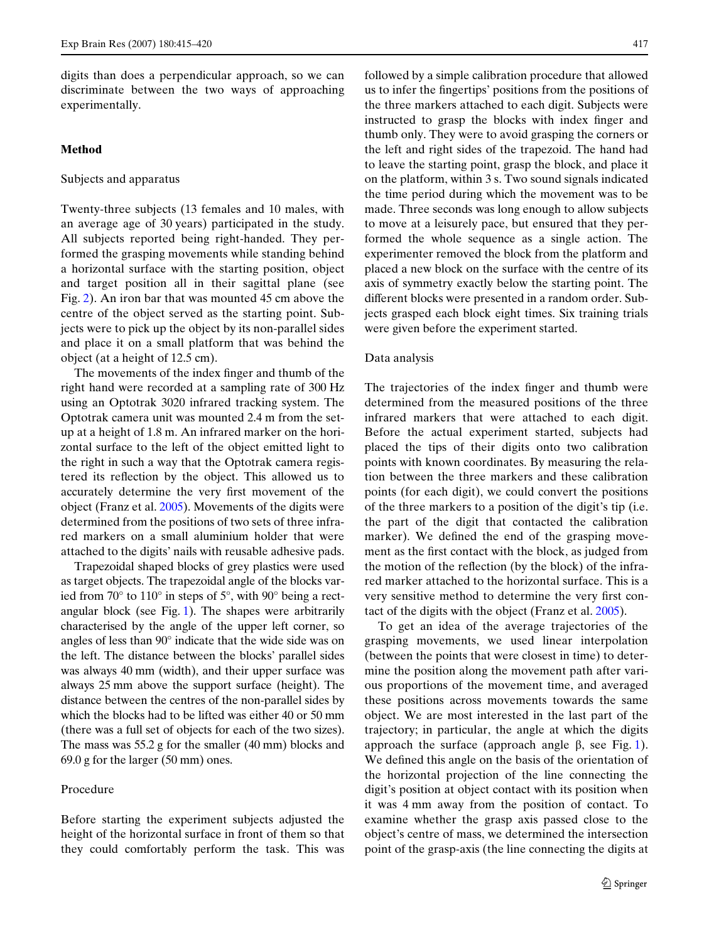digits than does a perpendicular approach, so we can discriminate between the two ways of approaching experimentally.

# <span id="page-2-0"></span>**Method**

#### Subjects and apparatus

Twenty-three subjects (13 females and 10 males, with an average age of 30 years) participated in the study. All subjects reported being right-handed. They performed the grasping movements while standing behind a horizontal surface with the starting position, object and target position all in their sagittal plane (see Fig. [2\)](#page-1-1). An iron bar that was mounted 45 cm above the centre of the object served as the starting point. Subjects were to pick up the object by its non-parallel sides and place it on a small platform that was behind the object (at a height of 12.5 cm).

The movements of the index finger and thumb of the right hand were recorded at a sampling rate of 300 Hz using an Optotrak 3020 infrared tracking system. The Optotrak camera unit was mounted 2.4 m from the setup at a height of 1.8 m. An infrared marker on the horizontal surface to the left of the object emitted light to the right in such a way that the Optotrak camera registered its reflection by the object. This allowed us to accurately determine the very first movement of the object (Franz et al. [2005\)](#page-5-11). Movements of the digits were determined from the positions of two sets of three infrared markers on a small aluminium holder that were attached to the digits' nails with reusable adhesive pads.

Trapezoidal shaped blocks of grey plastics were used as target objects. The trapezoidal angle of the blocks varied from 70° to 110° in steps of 5°, with 90° being a rectangular block (see Fig. [1\)](#page-1-0). The shapes were arbitrarily characterised by the angle of the upper left corner, so angles of less than 90° indicate that the wide side was on the left. The distance between the blocks' parallel sides was always 40 mm (width), and their upper surface was always 25 mm above the support surface (height). The distance between the centres of the non-parallel sides by which the blocks had to be lifted was either 40 or 50 mm (there was a full set of objects for each of the two sizes). The mass was 55.2 g for the smaller (40 mm) blocks and 69.0 g for the larger (50 mm) ones.

#### Procedure

Before starting the experiment subjects adjusted the height of the horizontal surface in front of them so that they could comfortably perform the task. This was followed by a simple calibration procedure that allowed us to infer the fingertips' positions from the positions of the three markers attached to each digit. Subjects were instructed to grasp the blocks with index finger and thumb only. They were to avoid grasping the corners or the left and right sides of the trapezoid. The hand had to leave the starting point, grasp the block, and place it on the platform, within 3 s. Two sound signals indicated the time period during which the movement was to be made. Three seconds was long enough to allow subjects to move at a leisurely pace, but ensured that they performed the whole sequence as a single action. The experimenter removed the block from the platform and placed a new block on the surface with the centre of its axis of symmetry exactly below the starting point. The different blocks were presented in a random order. Subjects grasped each block eight times. Six training trials were given before the experiment started.

#### <span id="page-2-1"></span>Data analysis

The trajectories of the index finger and thumb were determined from the measured positions of the three infrared markers that were attached to each digit. Before the actual experiment started, subjects had placed the tips of their digits onto two calibration points with known coordinates. By measuring the relation between the three markers and these calibration points (for each digit), we could convert the positions of the three markers to a position of the digit's tip (i.e. the part of the digit that contacted the calibration marker). We defined the end of the grasping movement as the first contact with the block, as judged from the motion of the reflection (by the block) of the infrared marker attached to the horizontal surface. This is a very sensitive method to determine the very first contact of the digits with the object (Franz et al. [2005](#page-5-11)).

To get an idea of the average trajectories of the grasping movements, we used linear interpolation (between the points that were closest in time) to determine the position along the movement path after various proportions of the movement time, and averaged these positions across movements towards the same object. We are most interested in the last part of the trajectory; in particular, the angle at which the digits approach the surface (approach angle  $\beta$ , see Fig. [1\)](#page-1-0). We defined this angle on the basis of the orientation of the horizontal projection of the line connecting the digit's position at object contact with its position when it was 4 mm away from the position of contact. To examine whether the grasp axis passed close to the object's centre of mass, we determined the intersection point of the grasp-axis (the line connecting the digits at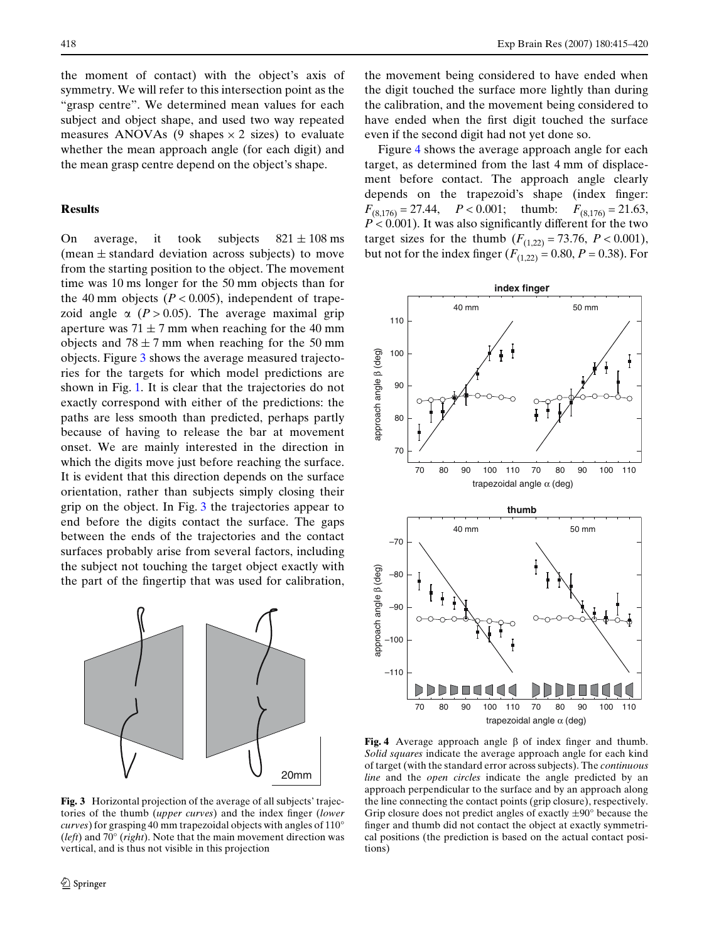the moment of contact) with the object's axis of symmetry. We will refer to this intersection point as the "grasp centre". We determined mean values for each subject and object shape, and used two way repeated measures ANOVAs (9 shapes  $\times$  2 sizes) to evaluate whether the mean approach angle (for each digit) and the mean grasp centre depend on the object's shape.

## **Results**

On average, it took subjects  $821 \pm 108$  ms (mean  $\pm$  standard deviation across subjects) to move from the starting position to the object. The movement time was 10 ms longer for the 50 mm objects than for the 40 mm objects  $(P < 0.005)$ , independent of trapezoid angle  $\alpha$  ( $P > 0.05$ ). The average maximal grip aperture was  $71 \pm 7$  mm when reaching for the 40 mm objects and  $78 \pm 7$  mm when reaching for the 50 mm objects. Figure [3](#page-3-0) shows the average measured trajectories for the targets for which model predictions are shown in Fig. [1](#page-1-0). It is clear that the trajectories do not exactly correspond with either of the predictions: the paths are less smooth than predicted, perhaps partly because of having to release the bar at movement onset. We are mainly interested in the direction in which the digits move just before reaching the surface. It is evident that this direction depends on the surface orientation, rather than subjects simply closing their grip on the object. In Fig. [3](#page-3-0) the trajectories appear to end before the digits contact the surface. The gaps between the ends of the trajectories and the contact surfaces probably arise from several factors, including the subject not touching the target object exactly with the part of the fingertip that was used for calibration,



<span id="page-3-0"></span>**Fig. 3** Horizontal projection of the average of all subjects' trajectories of the thumb *(upper curves)* and the index finger *(lower*) *curves*) for grasping 40 mm trapezoidal objects with angles of 110° (*left*) and 70° (*right*). Note that the main movement direction was vertical, and is thus not visible in this projection

the movement being considered to have ended when the digit touched the surface more lightly than during the calibration, and the movement being considered to have ended when the first digit touched the surface even if the second digit had not yet done so.

Figure [4](#page-3-1) shows the average approach angle for each target, as determined from the last 4 mm of displacement before contact. The approach angle clearly depends on the trapezoid's shape (index finger:  $F_{(8.176)} = 27.44$ ,  $P < 0.001$ ; thumb:  $F_{(8.176)} = 21.63$ ,  $P < 0.001$ ). It was also significantly different for the two target sizes for the thumb  $(F_{(1,22)} = 73.76, P < 0.001)$ , but not for the index finger  $(F_{(1,22)} = 0.80, P = 0.38)$ . For



<span id="page-3-1"></span>Fig. 4 Average approach angle  $\beta$  of index finger and thumb. *Solid squares* indicate the average approach angle for each kind of target (with the standard error across subjects). The *continuous line* and the *open circles* indicate the angle predicted by an approach perpendicular to the surface and by an approach along the line connecting the contact points (grip closure), respectively. Grip closure does not predict angles of exactly  $\pm 90^\circ$  because the finger and thumb did not contact the object at exactly symmetrical positions (the prediction is based on the actual contact positions)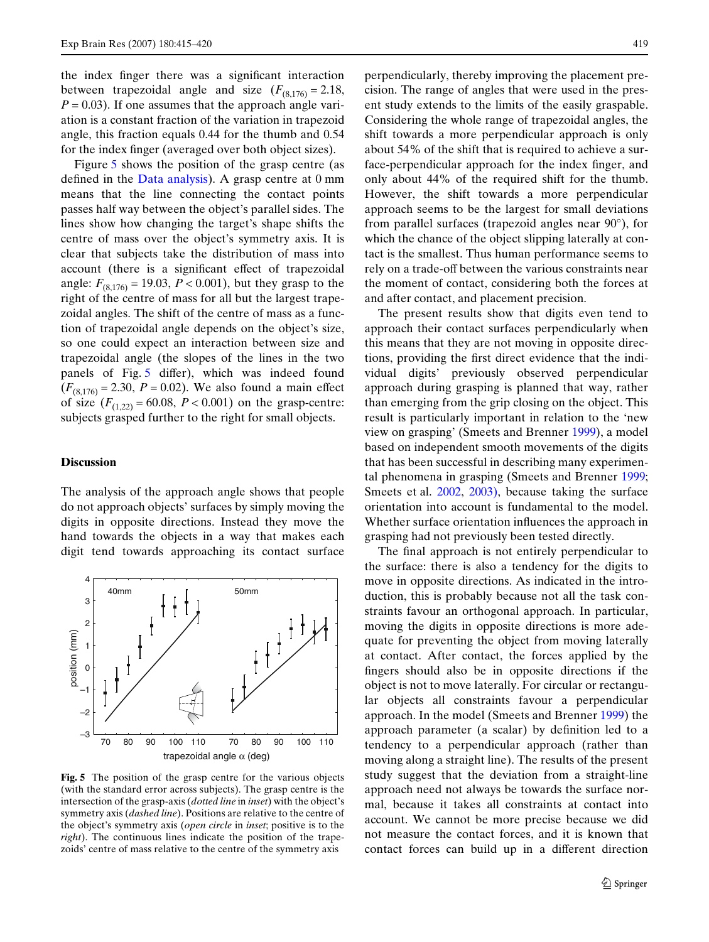the index finger there was a significant interaction between trapezoidal angle and size  $(F_{(8,176)} = 2.18,$  $P = 0.03$ ). If one assumes that the approach angle variation is a constant fraction of the variation in trapezoid angle, this fraction equals 0.44 for the thumb and 0.54 for the index finger (averaged over both object sizes).

Figure [5](#page-4-0) shows the position of the grasp centre (as defined in the [Data analysis\)](#page-2-1). A grasp centre at  $0 \text{ mm}$ means that the line connecting the contact points passes half way between the object's parallel sides. The lines show how changing the target's shape shifts the centre of mass over the object's symmetry axis. It is clear that subjects take the distribution of mass into account (there is a significant effect of trapezoidal angle:  $F_{(8,176)} = 19.03$ ,  $P < 0.001$ ), but they grasp to the right of the centre of mass for all but the largest trapezoidal angles. The shift of the centre of mass as a function of trapezoidal angle depends on the object's size, so one could expect an interaction between size and trapezoidal angle (the slopes of the lines in the two panels of Fig.  $5$  differ), which was indeed found  $(F_{(8,176)} = 2.30, P = 0.02)$ . We also found a main effect of size  $(F_{(1,22)} = 60.08, P < 0.001)$  on the grasp-centre: subjects grasped further to the right for small objects.

## **Discussion**

The analysis of the approach angle shows that people do not approach objects' surfaces by simply moving the digits in opposite directions. Instead they move the hand towards the objects in a way that makes each digit tend towards approaching its contact surface



<span id="page-4-0"></span>**Fig. 5** The position of the grasp centre for the various objects (with the standard error across subjects). The grasp centre is the intersection of the grasp-axis (*dotted line* in *inset*) with the object's symmetry axis (*dashed line*). Positions are relative to the centre of the object's symmetry axis (*open circle* in *inset*; positive is to the *right*). The continuous lines indicate the position of the trapezoids' centre of mass relative to the centre of the symmetry axis

perpendicularly, thereby improving the placement precision. The range of angles that were used in the present study extends to the limits of the easily graspable. Considering the whole range of trapezoidal angles, the shift towards a more perpendicular approach is only about 54% of the shift that is required to achieve a surface-perpendicular approach for the index finger, and only about 44% of the required shift for the thumb. However, the shift towards a more perpendicular approach seems to be the largest for small deviations from parallel surfaces (trapezoid angles near 90°), for which the chance of the object slipping laterally at contact is the smallest. Thus human performance seems to rely on a trade-off between the various constraints near the moment of contact, considering both the forces at and after contact, and placement precision.

The present results show that digits even tend to approach their contact surfaces perpendicularly when this means that they are not moving in opposite directions, providing the first direct evidence that the individual digits' previously observed perpendicular approach during grasping is planned that way, rather than emerging from the grip closing on the object. This result is particularly important in relation to the 'new view on grasping' (Smeets and Brenner [1999](#page-5-6)), a model based on independent smooth movements of the digits that has been successful in describing many experimental phenomena in grasping (Smeets and Brenner [1999;](#page-5-6) Smeets et al. [2002](#page-5-12), [2003\),](#page-5-13) because taking the surface orientation into account is fundamental to the model. Whether surface orientation influences the approach in grasping had not previously been tested directly.

The final approach is not entirely perpendicular to the surface: there is also a tendency for the digits to move in opposite directions. As indicated in the introduction, this is probably because not all the task constraints favour an orthogonal approach. In particular, moving the digits in opposite directions is more adequate for preventing the object from moving laterally at contact. After contact, the forces applied by the fingers should also be in opposite directions if the object is not to move laterally. For circular or rectangular objects all constraints favour a perpendicular approach. In the model (Smeets and Brenner [1999](#page-5-6)) the approach parameter (a scalar) by definition led to a tendency to a perpendicular approach (rather than moving along a straight line). The results of the present study suggest that the deviation from a straight-line approach need not always be towards the surface normal, because it takes all constraints at contact into account. We cannot be more precise because we did not measure the contact forces, and it is known that contact forces can build up in a different direction